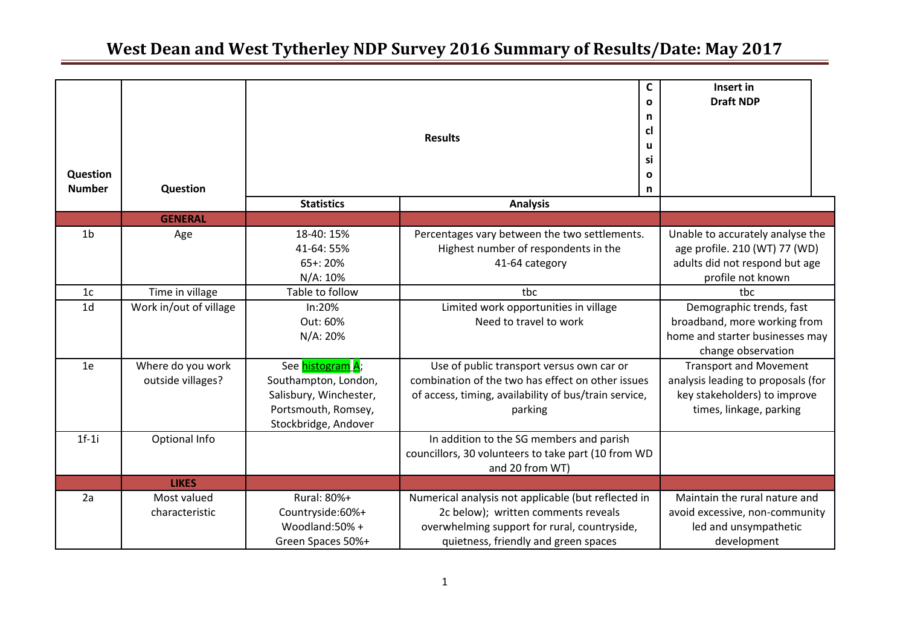| Question<br><b>Number</b> | Question                               | C<br>$\mathbf{o}$<br>n<br>cl<br><b>Results</b><br>u<br>si<br>$\mathbf{o}$<br>n                                    |                                                                                                                                                                                    | Insert in<br><b>Draft NDP</b>                                                                                                  |
|---------------------------|----------------------------------------|-------------------------------------------------------------------------------------------------------------------|------------------------------------------------------------------------------------------------------------------------------------------------------------------------------------|--------------------------------------------------------------------------------------------------------------------------------|
|                           |                                        | <b>Statistics</b>                                                                                                 | <b>Analysis</b>                                                                                                                                                                    |                                                                                                                                |
|                           | <b>GENERAL</b>                         |                                                                                                                   |                                                                                                                                                                                    |                                                                                                                                |
| 1 <sub>b</sub>            | Age                                    | 18-40: 15%<br>41-64: 55%<br>65+: 20%<br>N/A: 10%                                                                  | Percentages vary between the two settlements.<br>Highest number of respondents in the<br>41-64 category                                                                            | Unable to accurately analyse the<br>age profile. 210 (WT) 77 (WD)<br>adults did not respond but age<br>profile not known       |
| 1 <sub>c</sub>            | Time in village                        | Table to follow                                                                                                   | tbc                                                                                                                                                                                | tbc                                                                                                                            |
| 1 <sub>d</sub>            | Work in/out of village                 | In:20%<br>Out: 60%<br>N/A: 20%                                                                                    | Limited work opportunities in village<br>Need to travel to work                                                                                                                    | Demographic trends, fast<br>broadband, more working from<br>home and starter businesses may<br>change observation              |
| 1e                        | Where do you work<br>outside villages? | See histogram A;<br>Southampton, London,<br>Salisbury, Winchester,<br>Portsmouth, Romsey,<br>Stockbridge, Andover | Use of public transport versus own car or<br>combination of the two has effect on other issues<br>of access, timing, availability of bus/train service,<br>parking                 | <b>Transport and Movement</b><br>analysis leading to proposals (for<br>key stakeholders) to improve<br>times, linkage, parking |
| $1f-1$ i                  | Optional Info                          |                                                                                                                   | In addition to the SG members and parish<br>councillors, 30 volunteers to take part (10 from WD<br>and 20 from WT)                                                                 |                                                                                                                                |
|                           | <b>LIKES</b>                           |                                                                                                                   |                                                                                                                                                                                    |                                                                                                                                |
| 2a                        | Most valued<br>characteristic          | Rural: 80%+<br>Countryside:60%+<br>Woodland:50% +<br>Green Spaces 50%+                                            | Numerical analysis not applicable (but reflected in<br>2c below); written comments reveals<br>overwhelming support for rural, countryside,<br>quietness, friendly and green spaces | Maintain the rural nature and<br>avoid excessive, non-community<br>led and unsympathetic<br>development                        |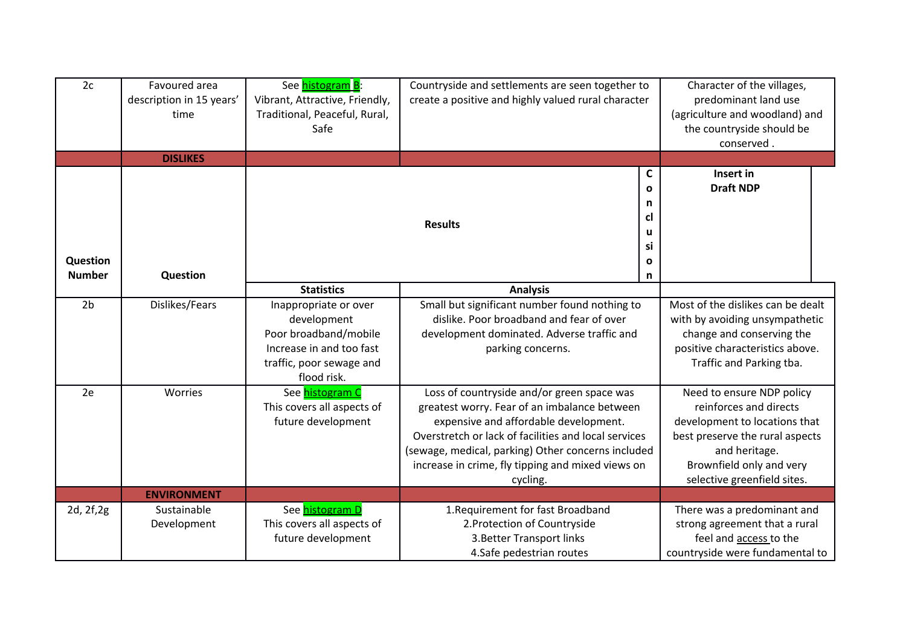| 2c                        | Favoured area<br>description in 15 years'<br>time<br><b>DISLIKES</b> | See histogram B:<br>Vibrant, Attractive, Friendly,<br>Traditional, Peaceful, Rural,<br>Safe                                          | Countryside and settlements are seen together to<br>create a positive and highly valued rural character                                                                                                                                                                                                            |                                                                         | Character of the villages,<br>predominant land use<br>(agriculture and woodland) and<br>the countryside should be<br>conserved.                                                                     |  |
|---------------------------|----------------------------------------------------------------------|--------------------------------------------------------------------------------------------------------------------------------------|--------------------------------------------------------------------------------------------------------------------------------------------------------------------------------------------------------------------------------------------------------------------------------------------------------------------|-------------------------------------------------------------------------|-----------------------------------------------------------------------------------------------------------------------------------------------------------------------------------------------------|--|
| Question<br><b>Number</b> | <b>Question</b>                                                      |                                                                                                                                      | <b>Results</b>                                                                                                                                                                                                                                                                                                     | $\mathsf{C}$<br>$\mathbf{o}$<br>n<br>cl<br>u<br>si<br>$\mathbf{o}$<br>n | Insert in<br><b>Draft NDP</b>                                                                                                                                                                       |  |
|                           |                                                                      | <b>Statistics</b>                                                                                                                    | <b>Analysis</b>                                                                                                                                                                                                                                                                                                    |                                                                         |                                                                                                                                                                                                     |  |
| 2 <sub>b</sub>            | Dislikes/Fears                                                       | Inappropriate or over<br>development<br>Poor broadband/mobile<br>Increase in and too fast<br>traffic, poor sewage and<br>flood risk. | Small but significant number found nothing to<br>dislike. Poor broadband and fear of over<br>development dominated. Adverse traffic and<br>parking concerns.                                                                                                                                                       |                                                                         | Most of the dislikes can be dealt<br>with by avoiding unsympathetic<br>change and conserving the<br>positive characteristics above.<br>Traffic and Parking tba.                                     |  |
| 2e                        | Worries                                                              | See histogram C<br>This covers all aspects of<br>future development                                                                  | Loss of countryside and/or green space was<br>greatest worry. Fear of an imbalance between<br>expensive and affordable development.<br>Overstretch or lack of facilities and local services<br>(sewage, medical, parking) Other concerns included<br>increase in crime, fly tipping and mixed views on<br>cycling. |                                                                         | Need to ensure NDP policy<br>reinforces and directs<br>development to locations that<br>best preserve the rural aspects<br>and heritage.<br>Brownfield only and very<br>selective greenfield sites. |  |
|                           | <b>ENVIRONMENT</b>                                                   |                                                                                                                                      |                                                                                                                                                                                                                                                                                                                    |                                                                         |                                                                                                                                                                                                     |  |
| 2d, 2f, 2g                | Sustainable<br>Development                                           | See histogram D<br>This covers all aspects of<br>future development                                                                  | 1. Requirement for fast Broadband<br>2. Protection of Countryside<br>3. Better Transport links<br>4.Safe pedestrian routes                                                                                                                                                                                         |                                                                         | There was a predominant and<br>strong agreement that a rural<br>feel and access to the<br>countryside were fundamental to                                                                           |  |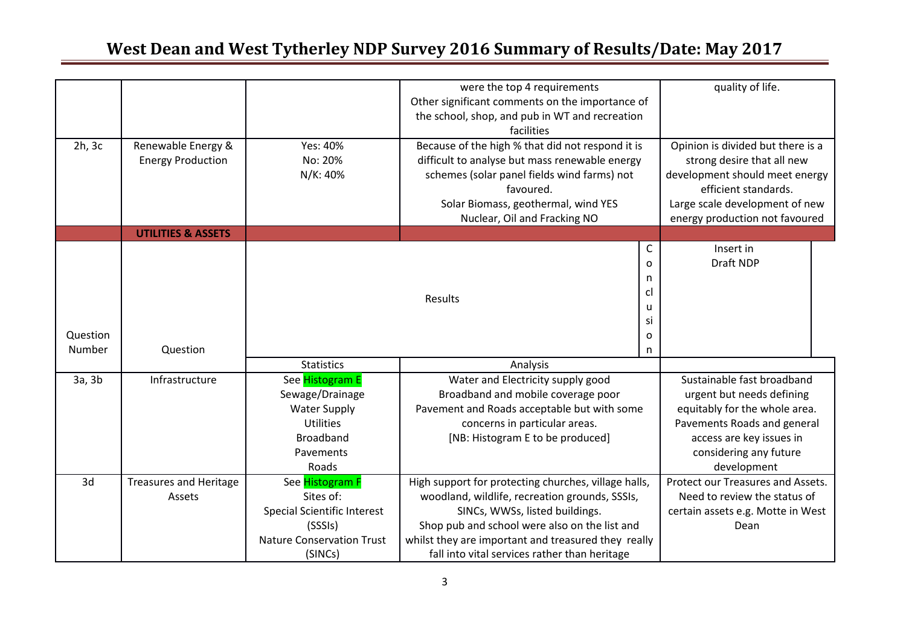|          |                               |                                                 | were the top 4 requirements                          |                        | quality of life.                  |  |
|----------|-------------------------------|-------------------------------------------------|------------------------------------------------------|------------------------|-----------------------------------|--|
|          |                               | Other significant comments on the importance of |                                                      |                        |                                   |  |
|          |                               | the school, shop, and pub in WT and recreation  |                                                      |                        |                                   |  |
|          |                               |                                                 | facilities                                           |                        |                                   |  |
| 2h, 3c   | Renewable Energy &            | Yes: 40%                                        | Because of the high % that did not respond it is     |                        | Opinion is divided but there is a |  |
|          | <b>Energy Production</b>      | No: 20%                                         | difficult to analyse but mass renewable energy       |                        | strong desire that all new        |  |
|          |                               | N/K: 40%                                        | schemes (solar panel fields wind farms) not          |                        | development should meet energy    |  |
|          |                               |                                                 | favoured.                                            |                        | efficient standards.              |  |
|          |                               |                                                 | Solar Biomass, geothermal, wind YES                  |                        | Large scale development of new    |  |
|          |                               |                                                 | Nuclear, Oil and Fracking NO                         |                        | energy production not favoured    |  |
|          | <b>UTILITIES &amp; ASSETS</b> |                                                 |                                                      |                        |                                   |  |
|          |                               |                                                 |                                                      | C                      | Insert in                         |  |
|          |                               |                                                 |                                                      | O                      | Draft NDP                         |  |
|          |                               |                                                 |                                                      | n                      |                                   |  |
|          |                               |                                                 | cl                                                   |                        |                                   |  |
|          |                               |                                                 | Results<br>u                                         |                        |                                   |  |
|          |                               |                                                 |                                                      |                        |                                   |  |
| Question |                               |                                                 |                                                      | O                      |                                   |  |
| Number   | Question                      |                                                 |                                                      | n                      |                                   |  |
|          |                               | <b>Statistics</b>                               | Analysis                                             |                        |                                   |  |
| 3a, 3b   | Infrastructure                | See Histogram E                                 | Water and Electricity supply good                    |                        | Sustainable fast broadband        |  |
|          |                               | Sewage/Drainage                                 | Broadband and mobile coverage poor                   |                        | urgent but needs defining         |  |
|          |                               | <b>Water Supply</b>                             | Pavement and Roads acceptable but with some          |                        | equitably for the whole area.     |  |
|          |                               | <b>Utilities</b>                                | concerns in particular areas.                        |                        | Pavements Roads and general       |  |
|          |                               | <b>Broadband</b>                                | [NB: Histogram E to be produced]                     |                        | access are key issues in          |  |
|          |                               | Pavements                                       |                                                      | considering any future |                                   |  |
|          |                               | Roads                                           |                                                      |                        | development                       |  |
| 3d       | <b>Treasures and Heritage</b> | See Histogram F                                 | High support for protecting churches, village halls, |                        | Protect our Treasures and Assets. |  |
|          | Assets                        | Sites of:                                       | woodland, wildlife, recreation grounds, SSSIs,       |                        | Need to review the status of      |  |
|          |                               | <b>Special Scientific Interest</b>              | SINCs, WWSs, listed buildings.                       |                        | certain assets e.g. Motte in West |  |
|          |                               | (SSSIs)                                         | Shop pub and school were also on the list and        |                        | Dean                              |  |
|          |                               | <b>Nature Conservation Trust</b>                | whilst they are important and treasured they really  |                        |                                   |  |
|          |                               | (SINCs)                                         | fall into vital services rather than heritage        |                        |                                   |  |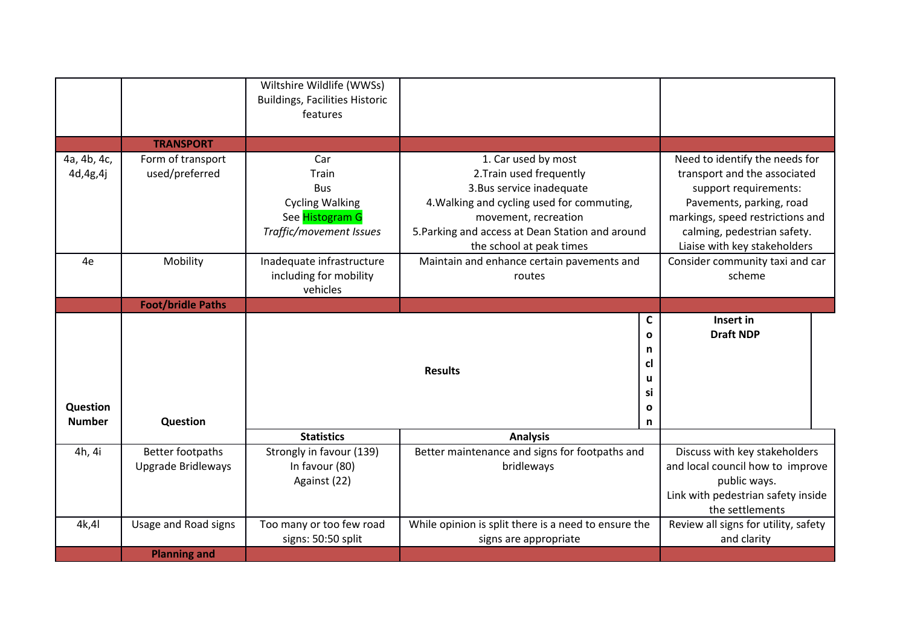|                           |                                     | Wiltshire Wildlife (WWSs)<br><b>Buildings, Facilities Historic</b>                                  |                                                      |                                 |                                                                |  |
|---------------------------|-------------------------------------|-----------------------------------------------------------------------------------------------------|------------------------------------------------------|---------------------------------|----------------------------------------------------------------|--|
|                           |                                     | features                                                                                            |                                                      |                                 |                                                                |  |
|                           | <b>TRANSPORT</b>                    |                                                                                                     |                                                      |                                 |                                                                |  |
| 4a, 4b, 4c,<br>4d, 4g, 4j | Form of transport<br>used/preferred | Car<br>Train                                                                                        | 1. Car used by most<br>2. Train used frequently      |                                 | Need to identify the needs for<br>transport and the associated |  |
|                           |                                     | <b>Bus</b>                                                                                          | 3. Bus service inadequate                            |                                 | support requirements:                                          |  |
|                           |                                     | <b>Cycling Walking</b>                                                                              | 4. Walking and cycling used for commuting,           |                                 | Pavements, parking, road                                       |  |
|                           |                                     | See Histogram G                                                                                     | movement, recreation                                 |                                 | markings, speed restrictions and                               |  |
|                           |                                     | Traffic/movement Issues                                                                             | 5. Parking and access at Dean Station and around     |                                 | calming, pedestrian safety.<br>Liaise with key stakeholders    |  |
| 4e                        | Mobility                            | the school at peak times<br>Inadequate infrastructure<br>Maintain and enhance certain pavements and |                                                      | Consider community taxi and car |                                                                |  |
|                           |                                     | including for mobility                                                                              | routes                                               |                                 | scheme                                                         |  |
|                           |                                     | vehicles                                                                                            |                                                      |                                 |                                                                |  |
|                           | <b>Foot/bridle Paths</b>            |                                                                                                     |                                                      |                                 |                                                                |  |
|                           |                                     |                                                                                                     |                                                      | $\mathsf{C}$<br>$\mathbf o$     | Insert in                                                      |  |
|                           |                                     |                                                                                                     | <b>Draft NDP</b>                                     |                                 |                                                                |  |
|                           |                                     |                                                                                                     |                                                      | n<br>cl                         |                                                                |  |
|                           |                                     |                                                                                                     | <b>Results</b>                                       | u                               |                                                                |  |
|                           |                                     |                                                                                                     |                                                      | si                              |                                                                |  |
| Question                  |                                     |                                                                                                     |                                                      | O                               |                                                                |  |
| <b>Number</b>             | Question                            |                                                                                                     |                                                      | n                               |                                                                |  |
|                           |                                     | <b>Statistics</b>                                                                                   | <b>Analysis</b>                                      |                                 |                                                                |  |
| 4h, 4i                    | Better footpaths                    | Strongly in favour (139)                                                                            | Better maintenance and signs for footpaths and       |                                 | Discuss with key stakeholders                                  |  |
|                           | <b>Upgrade Bridleways</b>           | In favour (80)                                                                                      | bridleways                                           |                                 | and local council how to improve                               |  |
|                           |                                     | Against (22)                                                                                        |                                                      |                                 | public ways.<br>Link with pedestrian safety inside             |  |
|                           |                                     |                                                                                                     |                                                      |                                 | the settlements                                                |  |
| 4k,41                     | Usage and Road signs                | Too many or too few road                                                                            | While opinion is split there is a need to ensure the |                                 | Review all signs for utility, safety                           |  |
|                           |                                     | signs: 50:50 split                                                                                  | signs are appropriate                                |                                 | and clarity                                                    |  |
|                           | <b>Planning and</b>                 |                                                                                                     |                                                      |                                 |                                                                |  |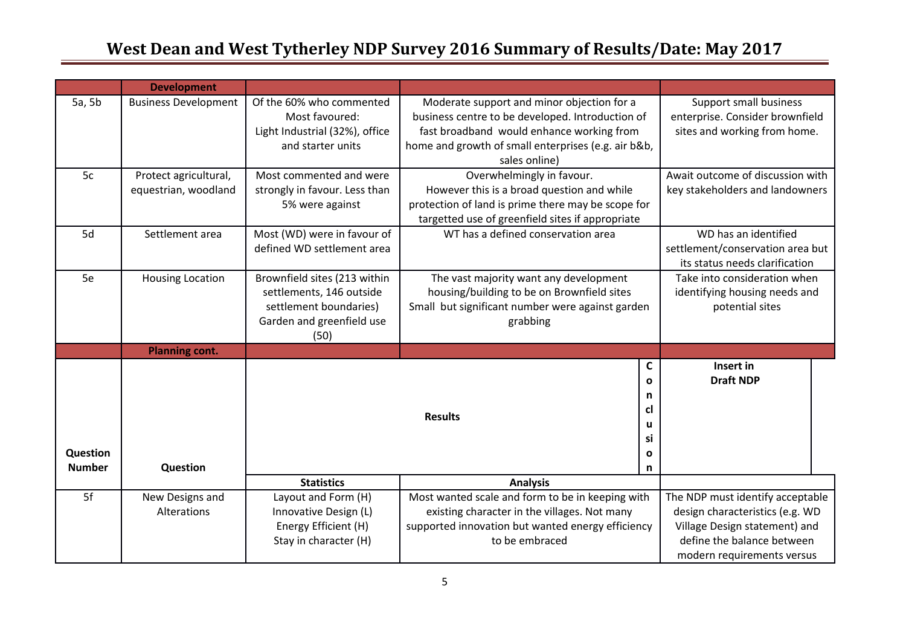|               | <b>Development</b>          |                                |                                                     |              |                                  |  |
|---------------|-----------------------------|--------------------------------|-----------------------------------------------------|--------------|----------------------------------|--|
| 5a, 5b        | <b>Business Development</b> | Of the 60% who commented       | Moderate support and minor objection for a          |              | Support small business           |  |
|               |                             | Most favoured:                 | business centre to be developed. Introduction of    |              | enterprise. Consider brownfield  |  |
|               |                             | Light Industrial (32%), office | fast broadband would enhance working from           |              | sites and working from home.     |  |
|               |                             | and starter units              | home and growth of small enterprises (e.g. air b&b, |              |                                  |  |
|               |                             |                                | sales online)                                       |              |                                  |  |
| 5c            | Protect agricultural,       | Most commented and were        | Overwhelmingly in favour.                           |              | Await outcome of discussion with |  |
|               | equestrian, woodland        | strongly in favour. Less than  | However this is a broad question and while          |              | key stakeholders and landowners  |  |
|               |                             | 5% were against                | protection of land is prime there may be scope for  |              |                                  |  |
|               |                             |                                | targetted use of greenfield sites if appropriate    |              |                                  |  |
| 5d            | Settlement area             | Most (WD) were in favour of    | WT has a defined conservation area                  |              | WD has an identified             |  |
|               |                             | defined WD settlement area     |                                                     |              | settlement/conservation area but |  |
|               |                             |                                |                                                     |              | its status needs clarification   |  |
| 5e            | <b>Housing Location</b>     | Brownfield sites (213 within   | The vast majority want any development              |              | Take into consideration when     |  |
|               |                             | settlements, 146 outside       | housing/building to be on Brownfield sites          |              | identifying housing needs and    |  |
|               |                             | settlement boundaries)         | Small but significant number were against garden    |              | potential sites                  |  |
|               |                             | Garden and greenfield use      | grabbing                                            |              |                                  |  |
|               |                             | (50)                           |                                                     |              |                                  |  |
|               | <b>Planning cont.</b>       |                                |                                                     |              |                                  |  |
|               |                             |                                |                                                     | $\mathsf{C}$ | Insert in<br><b>Draft NDP</b>    |  |
|               |                             | $\mathbf{o}$                   |                                                     |              |                                  |  |
|               |                             |                                |                                                     | n<br>cl      |                                  |  |
|               |                             |                                | <b>Results</b>                                      | u            |                                  |  |
|               |                             |                                |                                                     | si           |                                  |  |
| Question      |                             |                                |                                                     | $\mathbf o$  |                                  |  |
| <b>Number</b> | Question                    |                                |                                                     | n            |                                  |  |
|               |                             | <b>Statistics</b>              | <b>Analysis</b>                                     |              |                                  |  |
| 5f            | New Designs and             | Layout and Form (H)            | Most wanted scale and form to be in keeping with    |              | The NDP must identify acceptable |  |
|               | Alterations                 | Innovative Design (L)          | existing character in the villages. Not many        |              | design characteristics (e.g. WD  |  |
|               |                             | Energy Efficient (H)           | supported innovation but wanted energy efficiency   |              | Village Design statement) and    |  |
|               |                             | Stay in character (H)          | to be embraced                                      |              | define the balance between       |  |
|               |                             |                                |                                                     |              | modern requirements versus       |  |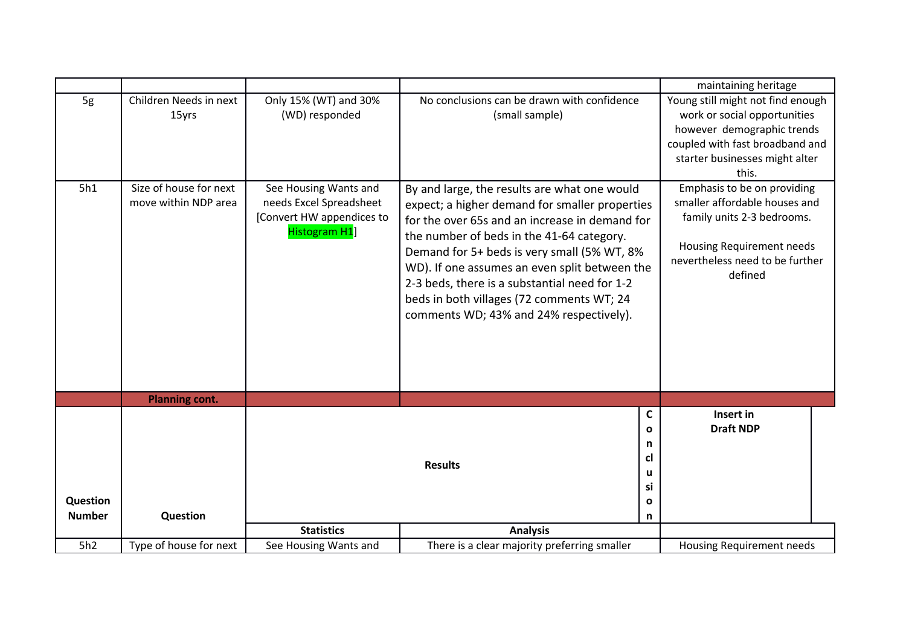|                           |                                                |                                                                                                        |                                                                                                                                                                                                                                                                                                                                                                                                                                        | maintaining heritage                                                                                                                                                          |
|---------------------------|------------------------------------------------|--------------------------------------------------------------------------------------------------------|----------------------------------------------------------------------------------------------------------------------------------------------------------------------------------------------------------------------------------------------------------------------------------------------------------------------------------------------------------------------------------------------------------------------------------------|-------------------------------------------------------------------------------------------------------------------------------------------------------------------------------|
| 5g                        | Children Needs in next<br>15yrs                | Only 15% (WT) and 30%<br>(WD) responded                                                                | No conclusions can be drawn with confidence<br>(small sample)                                                                                                                                                                                                                                                                                                                                                                          | Young still might not find enough<br>work or social opportunities<br>however demographic trends<br>coupled with fast broadband and<br>starter businesses might alter<br>this. |
| 5h1                       | Size of house for next<br>move within NDP area | See Housing Wants and<br>needs Excel Spreadsheet<br>[Convert HW appendices to<br><b>Histogram H1</b> ] | By and large, the results are what one would<br>expect; a higher demand for smaller properties<br>for the over 65s and an increase in demand for<br>the number of beds in the 41-64 category.<br>Demand for 5+ beds is very small (5% WT, 8%<br>WD). If one assumes an even split between the<br>2-3 beds, there is a substantial need for 1-2<br>beds in both villages (72 comments WT; 24<br>comments WD; 43% and 24% respectively). | Emphasis to be on providing<br>smaller affordable houses and<br>family units 2-3 bedrooms.<br>Housing Requirement needs<br>nevertheless need to be further<br>defined         |
|                           | <b>Planning cont.</b>                          |                                                                                                        |                                                                                                                                                                                                                                                                                                                                                                                                                                        |                                                                                                                                                                               |
| Question<br><b>Number</b> | Question                                       |                                                                                                        | <b>Results</b>                                                                                                                                                                                                                                                                                                                                                                                                                         | $\mathbf c$<br>Insert in<br><b>Draft NDP</b><br>$\mathbf{o}$<br>n<br>cl<br>u<br>si<br>$\mathbf{o}$<br>n                                                                       |
|                           |                                                | <b>Statistics</b>                                                                                      | <b>Analysis</b>                                                                                                                                                                                                                                                                                                                                                                                                                        |                                                                                                                                                                               |
| 5h2                       | Type of house for next                         | See Housing Wants and                                                                                  | There is a clear majority preferring smaller                                                                                                                                                                                                                                                                                                                                                                                           | Housing Requirement needs                                                                                                                                                     |